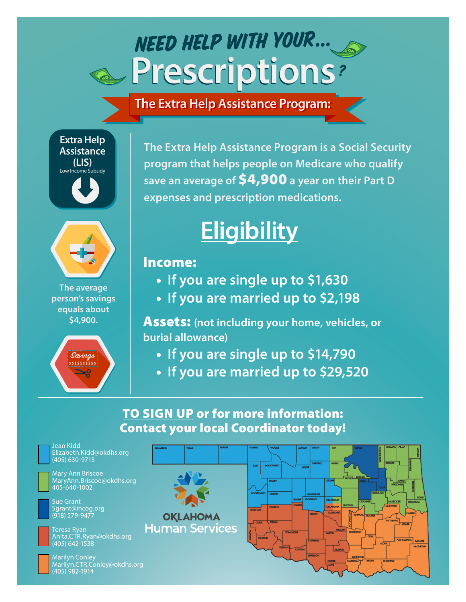### **Prescriptions Prescriptions** NEED HELP WITH YOUR... ?

**The Extra Help Assistance Program: The Extra Help Assistance Program:**





**The average person's savings equals about \$4,900.**



**The Extra Help Assistance Program is a Social Security program that helps people on Medicare who qualify save an average of** \$4,900 **a year on their Part D expenses and prescription medications.**

# **Eligibility**

### Income:

- **If you are single up to \$1,630**
- **If you are married up to \$2,198**

Assets: **(not including your home, vehicles, or burial allowance)**

- **If you are single up to \$14,790**
- **If you are married up to \$29,520**

### TO SIGN UP or for more information: Contact your local Coordinator today!



Jean Kidd Elizabeth.Kidd@okdhs.org (405) 630-9715



Mary Ann Briscoe MaryAnn.Briscoe@okdhs.org 405-640-1002

Sue Grant Sgrant@incog.org (918) 579-9477



Teresa Ryan Anita.CTR.Ryan@okdhs.org (405) 642-1538



Marilyn Conley Marilyn.CTR.Conley@okdhs.org (405) 982-1914